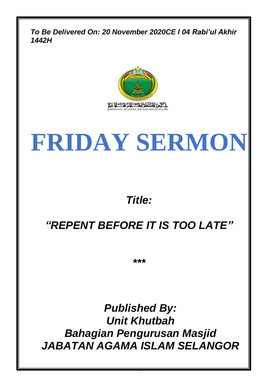*To Be Delivered On: 20 November 2020CE l 04 Rabi'ul Akhir 1442H*



# **FRIDAY SERMON**

# *Title:*

# *"REPENT BEFORE IT IS TOO LATE"*

*\*\*\**

*Published By: Unit Khutbah Bahagian Pengurusan Masjid JABATAN AGAMA ISLAM SELANGOR*

0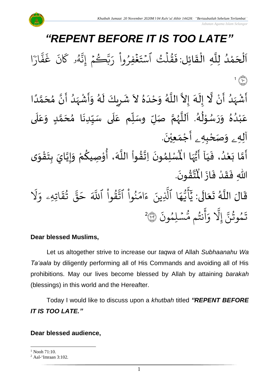# *"REPENT BEFORE IT IS TOO LATE"*

اَلْحَمْدُ لِلَّهِ الْقَائِلِ:فَقُلْتُ ٱسْتَغْفِرُواْ رَبَّكُمْ إِنَّهُو كَانَ غَفَّارَا ِ<br>آ و<br>و ់<br>ត  $\overline{\phantom{a}}$ ْ  $\overline{\phantom{a}}$  $\frac{1}{2}$ ْ ارؔ بہ<br>• ف  $\ddot{\cdot}$ غ  $\ddot{\cdot}$ ن ر<br>م م<br>لم*أو* كا و<br>لم ى<br>بە بَّڪُمۡۚ إِنَّ إ  $\frac{1}{2}$ ر ِرِ ځُفِرُوا رَ ْ ُ  $\ddot{\cdot}$  $\ddot{\phantom{0}}$ قَلْتُ اسْتَ  $\ddot{\phantom{0}}$ و<br>م∗ ہ<br>1 ور  $\ddot{\cdot}$ ف  $\binom{1}{1}$ 

ا<br>ا أَشْهَدُ أَنْ لَّا إِلَهَ إِلاَّ اللَّهُ وَحْدَهُ لاَ شَرِيكَ لَهُ وَأَشْهَدُ أَنَّ مُحَمَّدًا ۫<br>•  $\tilde{\epsilon}$ ٍ<br>و َ<br>زار<br>ر ْ َ ં<br>ત  $\tilde{\mathbf{r}}$  $\frac{1}{2}$ ً<br>ا ل<br>ا )<br>ጎ ا<br>م  $\sum_{i=1}^{n}$ ِ<br>ُا ر<br>په ْ  $\tilde{\mathbf{z}}$  $\frac{1}{2}$ ر<br>پر َ ِ  $\mathbf{r}$  $\lambda$  $\frac{1}{2}$ َ<br>ا  $\tilde{\cdot}$ و<br>گ ا الم  $\ddot{\phantom{0}}$ عَبْدُهُ وَرَسُوْلُهُ. اَللَّهُمَّ صَلِّ وسَلِّم عَلَى سَيِّدِنَا مُحَمَّدٍ وَعَلَى  $\frac{1}{1}$  $\overline{\mathbf{1}}$ َ<br>م  $\frac{1}{1}$ تا<br>ج و<br>ر<br>ر ا<br>آ ہ<br>آ و<br>ا بـــو<br>ا ֦֧֦֦֦֦֦֦֦֦֦֦֦֦֦֦֦֦֦֦֦֦֦֦֦֦֦֦֦֦֦֦֝֝ و<br>م  $\ddot{\phantom{0}}$  $\frac{1}{2}$ ً<br>ٌمُ ٍ<br>و ۫<br>ؙ ً<br>م  $\overline{\mathbf{1}}$  $\frac{1}{2}$  $\tilde{\cdot}$ <u>لم</u> ن<br>م )<br>ጎ آلِهِ <sub>ـُ</sub> وَصَحْبِهِ <sub>ـُ</sub> أَجْمَعِيْنَ.  $\ddot{\mathbf{r}}$ ֦֧֦֦֧֝<u>֦</u>  $\ddot{\phantom{0}}$ ْ  $\tilde{\mathbf{a}}$  $\frac{1}{2}$ 

آ ي ، ف د ع ا ب م أ ون ِم ل سْ ُْ  $\frac{1}{1}$  $\ddot{\cdot}$ و<br>ا ំ<br>រ  $\ddot{\cdot}$ لة<br>م  $\sum_{i=1}^{n}$  $\ddot{\phantom{0}}$ ›<br>ለ أَيُّهَا الْمُسْلِمُونَ اِتَّقُواْ اللَّهَ، أُوْصِيكُمْ وَإِيَّايَ بِتَقْوَى ِ<br>پاس<br>رو ُ<br>ُو  $\frac{1}{2}$  $\tilde{\cdot}$ ֦֧֦֧֦֧֦֧֦֧֦֧֦֧֦֧֦֧֦֧֦֧֦֧֦֧֦֧<br>**֧**֧֓֘  $\frac{1}{2}$ **ٍ**<br>-ان<br>ا  $\vdash$  $\tilde{\cdot}$ ر<br>م ֦֧֦ ُ ِ<br>لم ا<br>ا ֦֧֦֧֦֧֦֧֦֧֦֧֦֧֦֧֦֧֦֧֦֧֜֜֓֓<br>**֧**  $\frac{2}{1}$ لة<br>م .  $\ddot{\phantom{0}}$ ؾٞڨۛٞۅڹؘ **ہیں** ار<br>مو ہ<br>ا اللهِ فَقَدْ فَازَ الْمُ  $\ddot{\cdot}$  $\ddot{\cdot}$ ْ  $\frac{1}{2}$  $\ddot{\cdot}$ 

قَالَ اللَّهُ تَعَالَى: ً<br>ام  $\frac{1}{2}$  $\frac{1}{2}$ و<br>الم ا<br>آ  $\ddot{\mathbf{r}}$ ِ<br>آک قُوا اللَّهَ <u>ہ</u><br>ا ور ِ<br>په نُوا اڌّ <u>ہ</u><br>ا ُ  $\frac{1}{2}$ ام ्<br>द ء ِينَ ِ<br>آ ا الَّذِ ر<br>م ه و<br>د سَ<br>ڊ ِ<br>ج  $\overline{\mathcal{L}}$ ِ<br>د بد ر<br>1 َل ر<br>ہ اتِهِۦ و  $\frac{1}{2}$ ؞ٛ؞ۧ<br>تق و<br>په ِ<br>په قة  $\overline{\phantom{a}}$ ح  $\ddot{\cdot}$ سُلِمُونَ و  $\ddot{\phantom{0}}$ و<br>مما نتُم مَّ و<br>په ِ<br>ج أ  $\frac{1}{c}$ و ِ<br>آ َِل إ ِ<br>پ تَمُوثُنَّ إِلَّا وَأَنتُم مُّسۡلِمُونَ ۞ و<br>په و 2

# **Dear blessed Muslims,**

Let us altogether strive to increase our *taqwa* of Allah *Subhaanahu Wa Ta'aala* by diligently performing all of His Commands and avoiding all of His prohibitions. May our lives become blessed by Allah by attaining *barakah* (blessings) in this world and the Hereafter.

Today I would like to discuss upon a *khutbah* titled *"REPENT BEFORE IT IS TOO LATE."*

# **Dear blessed audience,**

 $1$  Nooh 71:10.

<sup>2</sup> Aal-'Imraan 3:102.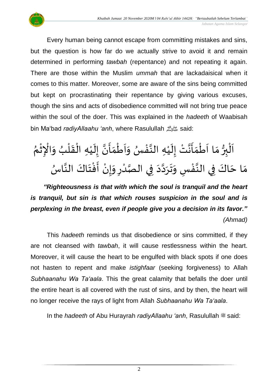

Every human being cannot escape from committing mistakes and sins, but the question is how far do we actually strive to avoid it and remain determined in performing *tawbah* (repentance) and not repeating it again. There are those within the Muslim *ummah* that are lackadaisical when it comes to this matter. Moreover, some are aware of the sins being committed but kept on procrastinating their repentance by giving various excuses, though the sins and acts of disobedience committed will not bring true peace within the soul of the doer. This was explained in the *hadeeth* of Waabisah bin Ma'bad *radiyAllaahu 'anh*, where Rasulullah صلى الله عليه وسلم

### <sub>ይ</sub> اَلْبِرُّ مَا اَطْمَأَنَّتْ إِلَيْهِ النَّفْسُ وَاَطْمَأَنَّ إِلَيْهِ الْقَلْبُ وَالْإِثْمُ ֦֧֦֧֦֧֦֧֦֜֜֜<br>֧֢ׅ֧֦ ِ ֦֧֦֧֦֧֦֧֦֧֦֧֦֧֦֧֦֧֦֧֦֧֦֧֦֧֦֧֦֧֦֧֦֧֝֟֓֓֓֟֓֓֟֓֟֓֟֓֓֟֓֓֟֓<br>**֧**  $\frac{1}{2}$ ُ ់<br>(  $\frac{1}{2}$ ֦֧֦֧֦֧֦֧֝<u>֦</u> ំ<br>រ  $\tilde{\mathbf{r}}$  $\frac{1}{2}$ ن<br>•  $\frac{1}{2}$  $\frac{1}{2}$ ֦֧֦֧֦֧֦֧֦֧֦֧֦֧֦֧֦֧֦֧֦֧֦֧֝֟֓֓֟֓<br>**֓**  $\overline{\phantom{a}}$  $\frac{1}{2}$ ٍ<br>ب ֧֦֧֘֒<u>֚</u> اتا<br>پ ْ  $\tilde{\mathbf{r}}$  $\frac{1}{2}$ انة<br>ا  $\frac{1}{2}$  $\frac{1}{2}$ ֦֧֦֧֦֧֦֧֦֧֦֧֦֧֦֧<br>**֞** َ  $\frac{1}{2}$  $\frac{3}{2}$ بر ْ  $\overline{\phantom{a}}$ مَا حَاكَ فِي النَّفْسِ وَتَرَدَّدَ فِي الصَّدْرِ وَإِنْ أَفْتَاكَ النَّاسُ .<br>. اتا<br>ج ا<br>د  $\ddot{\phantom{0}}$ ٝ<br>ۣ  $\frac{1}{2}$ ْ  $\frac{1}{2}$ ْ اتا<br>د د  $\sim$ تا<br>م  $\ddot{\phantom{0}}$  $\ddot{\phantom{0}}$  $\frac{1}{2}$ ֧֦֧֦֧֘֒<u>֦</u> انا ً<br>د  $\ddot{\phantom{0}}$  $\frac{1}{2}$

*"Righteousness is that with which the soul is tranquil and the heart is tranquil, but sin is that which rouses suspicion in the soul and is perplexing in the breast, even if people give you a decision in its favor." (Ahmad)*

This *hadeeth* reminds us that disobedience or sins committed, if they are not cleansed with *tawbah*, it will cause restlessness within the heart. Moreover, it will cause the heart to be engulfed with black spots if one does not hasten to repent and make *istighfaar* (seeking forgiveness) to Allah *Subhaanahu Wa Ta'aala*. This the great calamity that befalls the doer until the entire heart is all covered with the rust of sins, and by then, the heart will no longer receive the rays of light from Allah *Subhaanahu Wa Ta'aala*.

In the *hadeeth* of Abu Hurayrah *radiyAllaahu 'anh*, Rasulullah  $\equiv$  said: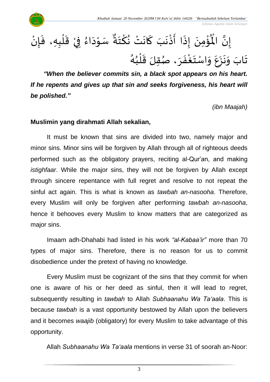

֧֦֧֦֧֦֧֘֒<u>֦</u> ُؤْمِنَ إِذَا أَذْ  $\frac{1}{2}$  $\ddot{\cdot}$  $\ddot{\phantom{0}}$ ْ<br>م  $\mathbf{r}$ إِنَّ الْمُؤْمِنَ إِذَا أَذْنَبَ كَانَتْ نُكْتَةٌ سَوْدَاءُ فِيْ قَلْبِهِ، فَإِنْ لة<br>• ْ  $\frac{1}{2}$ ់<br>**រ**  $\ddot{\phantom{0}}$ ْ ر<br>م  $\overline{\phantom{a}}$ ֦֧֦ ِ<br>نَبَ كَانَتْ نُكْتَةٌ  $\ddot{\phantom{0}}$ ؚ<br>م <sup>∂</sup>  $\ddot{\phantom{0}}$ ์<br>-<br>- $\ddot{\phantom{0}}$ ء<br>لم تَابَ وَنَزَعَ وَاسْتَغْفَرَ، صُقِلَ قَلْبُهُ ُ ់<br>(  $\frac{1}{2}$ ر<br>ر  $\frac{1}{2}$  $\ddot{\cdot}$ ِ<br>ْ ्<br>\*  $\frac{1}{2}$  $\overline{\phantom{a}}$  $\ddot{\phantom{0}}$  $\ddot{\phantom{0}}$ ر<br>م

*"When the believer commits sin, a black spot appears on his heart. If he repents and gives up that sin and seeks forgiveness, his heart will be polished."*

*(ibn Maajah)*

 $\frac{1}{2}$ 

### **Muslimin yang dirahmati Allah sekalian,**

It must be known that sins are divided into two, namely major and minor sins. Minor sins will be forgiven by Allah through all of righteous deeds performed such as the obligatory prayers, reciting al-Qur'an, and making *istighfaar*. While the major sins, they will not be forgiven by Allah except through sincere repentance with full regret and resolve to not repeat the sinful act again. This is what is known as *tawbah an-nasooha*. Therefore, every Muslim will only be forgiven after performing *tawbah an-nasooha*, hence it behooves every Muslim to know matters that are categorized as major sins.

Imaam adh-Dhahabi had listed in his work *"al-Kabaa'ir"* more than 70 types of major sins. Therefore, there is no reason for us to commit disobedience under the pretext of having no knowledge.

Every Muslim must be cognizant of the sins that they commit for when one is aware of his or her deed as sinful, then it will lead to regret, subsequently resulting in *tawbah* to Allah *Subhaanahu Wa Ta'aala*. This is because *tawbah* is a vast opportunity bestowed by Allah upon the believers and it becomes *waajib* (obligatory) for every Muslim to take advantage of this opportunity.

Allah *Subhaanahu Wa Ta'aala* mentions in verse 31 of soorah an-Noor:

3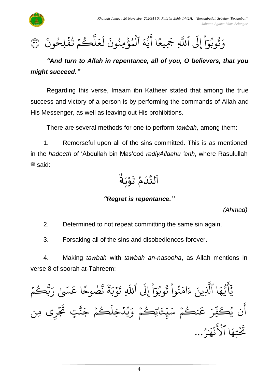

 $\ddot{\cdot}$ كُمْ تُفَلِحُونَ و  $\ddot{\cdot}$ و<br>په  $\frac{1}{2}$ ر ىر<br>ا  $\mu$  $\frac{1}{2}$ بر<br>ج .<br>ا ل  $\ddot{\cdot}$ الْمُؤْمِنُونَ ُ ہ<br>ء و ہ<br>1 ر<br>ک ه و<br>د ى<br>4 ِ<br>ج ا أ  $\frac{2}{\pi}$ ِيع ِ َجَ َّ اللَّهِ ر<br>1 َِل إ <u>ہ</u><br>ا ا  $\frac{1}{\epsilon}$ وَتُوبُوٓاْ إِلَى ٱللَّهِ جَمِيعًا أَيُّهَ ٱلْمُؤْمِنُونَ لَعَلَّكُمْ تُفْلِحُونَ ۞ ُو و<br>په

*"And turn to Allah in repentance, all of you, O believers, that you might succeed."*

Regarding this verse, Imaam ibn Katheer stated that among the true success and victory of a person is by performing the commands of Allah and His Messenger, as well as leaving out His prohibitions.

There are several methods for one to perform *tawbah*, among them:

1. Remorseful upon all of the sins committed. This is as mentioned in the *hadeeth* of 'Abdullah bin Mas'ood *radiyAllaahu 'anh*, where Rasulullah  $*$ said:



# *"Regret is repentance."*

*(Ahmad)*

 *Jabatan Agama Islam Selangor*

2. Determined to not repeat committing the same sin again.

3. Forsaking all of the sins and disobediences forever.

4. Making *tawbah* with *tawbah an-nasooha*, as Allah mentions in verse 8 of soorah at-Tahreem:

 $\frac{1}{2}$ و<br>بېڭىم و ِ<br>پ ر َ ََس ا ع ٰ  $\frac{1}{2}$ صُوحً و ِ<br>په بة<br>ذ ׇ֦֧֧֝<br>֧֛֛֧֧֧֧֧֧֦֧֧֦֧֦֧֦֧֦֧֦֧֦֧֦֧֦֧֓֝֓֝֓֝֝֓֝֓֝֓<br>֧ׅׅ֧ׅ֧֧֧֧֜֡֓֡֓֝ ة  $\tilde{\cdot}$ ور<br>وب  $\frac{1}{2}$  $\ddot{\cdot}$ ِ ت یہ<br>ا اللَّهِ .<br>ا َِل إ <u>ہ</u><br>ا ا  $\frac{1}{\epsilon}$ نُوا تُوبُوَّ ُو ور ُ<br>ا ُ ِ<br>م ام  $\tilde{\zeta}$ ء ِينَ ِ<br>آ ا الَّذِ ر<br>م ه و<br>د سَة<br>ب ِ<br>ج أ ِ<br>د بد  $\frac{1}{2}$ نڪُمُ و ِ<br>م ع ِ<br>م ِر بد<br>د ف ُكَ ن ي ِ<br>ج أ  $\frac{1}{2}$ اتِڪُمُ و ر<br>ع ِ<br>ِخ ں<br>س للہ<br>ج ِ سَيِّئَاتِڪُمْ وَيُدْخِلُڪُمْ جَنَّتٍ تَجْرِى مِن  $\frac{1}{2}$  $\tilde{\mathbf{r}}$ تِ تَجُ َّٰ ن<br>نم  $\tilde{\phantom{0}}$ ڪُمُ جَـ  $\frac{1}{2}$ و ر<br>آ ِخل د ي ہ<br>ا و<br>د ِ<br>ہ و ُو و<br>مر ٰ ِرِ نىچذ  $\ddot{\cdot}$ َ عَ<br>أ ا ٱۡل ر<br>م تِه  $\frac{1}{2}$  $\ddot{\phantom{0}}$ تَحْتِهَا ٱلْأَنْهَارُ...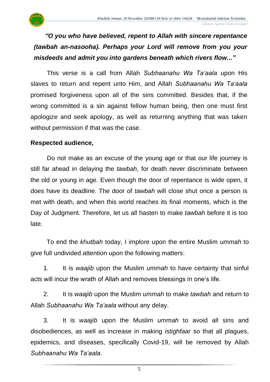

This verse is a call from Allah *Subhaanahu Wa Ta'aala* upon His slaves to return and repent unto Him, and Allah *Subhaanahu Wa Ta'aala* promised forgiveness upon all of the sins committed. Besides that, if the wrong committed is a sin against fellow human being, then one must first apologize and seek apology, as well as returning anything that was taken without permission if that was the case.

### **Respected audience,**

Do not make as an excuse of the young age or that our life journey is still far ahead in delaying the *tawbah*, for death never discriminate between the old or young in age. Even though the door of repentance is wide open, it does have its deadline. The door of *tawbah* will close shut once a person is met with death, and when this world reaches its final moments, which is the Day of Judgment. Therefore, let us all hasten to make *tawbah* before it is too late.

To end the *khutbah* today, I implore upon the entire Muslim *ummah* to give full undivided attention upon the following matters:

1. It is *waajib* upon the Muslim *ummah* to have certainty that sinful acts will incur the wrath of Allah and removes blessings in one's life.

2. It is *waajib* upon the Muslim *ummah* to make *tawbah* and return to Allah *Subhaanahu Wa Ta'aala* without any delay.

3. It is *waajib* upon the Muslim *ummah* to avoid all sins and disobediences, as well as increase in making *istighfaar* so that all plagues, epidemics, and diseases, specifically Covid-19, will be removed by Allah *Subhaanahu Wa Ta'aala*.

5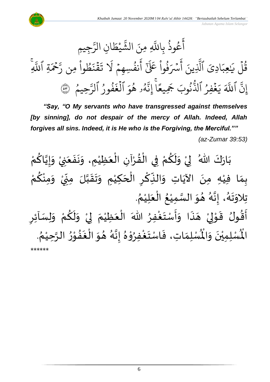

*"Say, "O My servants who have transgressed against themselves [by sinning], do not despair of the mercy of Allah. Indeed, Allah forgives all sins. Indeed, it is He who is the Forgiving, the Merciful."" (az-Zumar 39:53)*

ْ بَارَكَ اللّهُ ۖ لِيْ وَلَكُمْ فِي الْقُرْآنِ الْعَظِيْمِ، وَنَفَعَنِيْ وَإِيَّاكُمْ َ  $\ddot{\cdot}$  $\ddot{\phantom{0}}$  $\frac{1}{2}$ ំ<br>រ  $\frac{1}{2}$ ْ ْ  $\frac{9}{4}$ ֦֧֦֧֦֦֧֝<u>֦</u> ْ <u>و</u>  $\tilde{\mathbf{r}}$  $\frac{1}{2}$ ْ  $\frac{1}{2}$  $\ddot{\phantom{0}}$ ْ <u>ل</u> ان<br>ا  $\frac{1}{2}$  $\frac{1}{2}$ ْ بِمَا فِيْهِ مِنَ الآيَاتِ وَالنِّكْرِ الْحَكِيْمِ وَتَقَبَّلَ مِنِّيْ وَمِنْكُمْ <u>ل</u>و ْ  $\frac{1}{2}$ ْ  $\frac{1}{2}$  $\sum$ ن<br>ا  $\frac{1}{2}$  $\frac{1}{2}$  $\frac{1}{2}$ ْ َ ۔<br>م <u>ر</u> <u>ہ</u>  $\ddot{\cdot}$ ์ $\tilde{\cdot}$ ِ<br>پُ  $\ddot{\phantom{0}}$ ْ  $\frac{1}{2}$ . ์<br>}<br>≮ تِلاوَتَهُ، إِنَّهُ هُوَ السَّمِيْعُ الْعَلِيْمُ ْ َ ់<br>**រ** ُ ْ ا<br>ما  $\frac{1}{2}$  $\frac{1}{2}$ و<br>گ لة<br>•  $\frac{1}{2}$ و<br>گ  $\ddot{\phantom{0}}$  $\frac{1}{2}$ ∫<br>S اًقُولُ قَوْلِيْ هَذَا وَأَسْتَغْفِرُ اللّهَ الْعَظِيْمَ لِيْ وَلَكُمْ وَلِسَاْئِرِ ْ<br><u>،</u>  $\frac{1}{2}$ بر<br>پنج  $\frac{1}{2}$ َ<br>په  $\overline{a}$ ْ لمح ់<br>•  $\frac{1}{2}$ ر<br>بو  $\frac{1}{2}$ <u>ر</u>  $\frac{1}{2}$ ْ <u>ل</u>و  $\tilde{\mathbf{r}}$  $\ddot{\ }$ ْ إ  $\frac{1}{2}$ ْ َ ْ . ُ ر<br>لِّسْلِمَاتِ، فَاسْتَغْفِرُوْهُ إِنَّهُ هُوَ الْغَفُوْرُ الرَّحِيْمُ ْ ن<br>م  $\frac{1}{2}$ י<br>י **ٍ**  $\ddot{\phantom{0}}$ ۔<br>ا ์ $\overline{\phantom{a}}$  $\frac{1}{2}$ و<br>گ ا<br>م  $\frac{1}{2}$  $^{\circ}$ ֦֧֦֧֦ ُ<br>ٌ ْ  $\frac{1}{2}$  $\frac{1}{2}$  $\frac{1}{2}$ ر۔<br>لْمُسْلِمِيْنَ وَالْمُ  $\frac{1}{2}$  $\ddot{\phantom{0}}$ ់<br>( اْل \*\*\*\*\*\*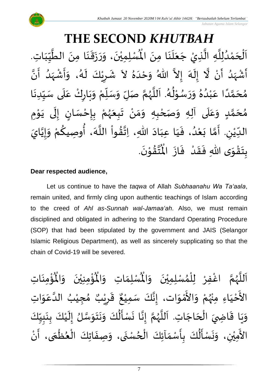*Jabatan Agama Islam Selangor*

### **THE SECOND** *KHUTBAH* ِت ا ب ي الط ِمن ا ن ق ز ر ، و ن ِ ِمي ل سْ ُْ  $\frac{1}{1}$  $\frac{1}{2}$  $\frac{1}{1}$ ا<br>ا َ  $\ddot{\cdot}$  $\frac{1}{2}$  $\ddot{\phantom{0}}$  $\frac{1}{2}$  $\frac{1}{2}$  $\ddot{\phantom{0}}$ ْ اَلْحَمْدُلِلَّهِ الَّذِيْ جَعَلَنَا مِنَ الْمُسْلِمِيْنَ، وَرَزَقَنَا مِنَ الطَّيِّبَاتِ. َ  $\ddot{\phantom{0}}$ ے<br>آ  $\frac{1}{2}$  $\ddot{\phantom{0}}$ ا<br>تار ا<br>آ و<br>و ់<br>?  $\overline{\phantom{a}}$ ֦֧֦֧֦֧֦֧֦֦֜֜֜֜֜֜  $\overline{\phantom{a}}$ ْ ِ أَشْهَدُ أَنْ لَّا إِلَهَ إِلاَّ اللّهُ وَحْدَهُ لاَ شَرِيْكَ لَهُ، وَأَشْهَدُ أَنَّ  $\tilde{\mathbf{z}}$ ا<br>ا ْ سہ<br>ج ٍ<br>و ر<br>زن الا ે<br>ત ب<br>۱  $\frac{1}{2}$ ं<br>ब  $\frac{1}{2}$  $\frac{1}{1}$  $\tilde{\cdot}$ ا<br>•<br>• -<br>:<br>: بر<br>د  $\frac{1}{2}$ ْ  $\ddot{\cdot}$  $\frac{1}{2}$ د<br>گ  $\tilde{\mathbf{r}}$ ٝ<br>ۣ<br>ؙ <u>ر</u>  $\frac{1}{2}$ مُحَمَّدًا عَبْدُهُ وَرَسُوْلُهُ. اَللَّهُمَّ صَلِّ وَسَلِّمْ وَبَارِكْ عَلَى سَبِّدِنَا  $\ddot{\phantom{0}}$  $\frac{1}{1}$  $\frac{1}{2}$ ۔<br>آ .<br>م ْ  $\ddot{\phantom{0}}$  $\frac{1}{2}$ ْ  $\frac{1}{\sqrt{2}}$  $\frac{1}{2}$  $\frac{1}{2}$ ن<br>م و<br>ر<br>ر ة<br>أ َ و<br>گ  $\frac{1}{\epsilon}$ י<br>י و<br>م  $\frac{1}{2}$  $\frac{1}{2}$  $\frac{1}{\lambda}$ و<br>و ْ .<br>م ً<br>ا ت<br>م  $\overline{\phantom{a}}$  $\frac{1}{2}$ مُحَمَّدٍ وَعَلَى آلِهِ وَصَحْبِهِ وَمَنْ تَبِعَهُمْ بِإِحْسَانٍ إِلَى يَوْمِ <u>ل</u> تا<br>م  $\overline{\phantom{a}}$ ๋<br>ጎ  $\overline{\mathbf{1}}$  $\frac{1}{\sqrt{2}}$  $\tilde{\cdot}$ י<br>י ์<br>←<br>▲  $\ddot{\phantom{0}}$ ل ।<br>-<br>-)<br>=<br>= ْ <u>ر</u> ْ ر<br>ر<br>ر َ  $\ddot{\phantom{0}}$ ْ  $\frac{1}{2}$ ์ $\frac{1}{2}$ ֦֧֦֦֧֝<u>֦</u> ِ<br>پا الدِّيْنِ. أَمَّا بَعْدُ، فَيَا عِبَادَ اللّهِ، اِتَّقُواْ اللَّهَ، أُوصِيكُمْ وَإِيَّايَ ؗ<br>ؙ  $\frac{1}{\sqrt{2}}$ ن<br>•  $\frac{1}{2}$  $\frac{1}{2}$ ْ <u>ل</u> ا<br>من َ<br>م ا<br>ا ْ  $\frac{9}{4}$ لة<br>\*  $\sim$  $\frac{1}{1}$ َ  $\frac{1}{2}$ ٍ<br>' ْ<br>ا  $\ddot{\ }$ ت<br>م  $\frac{1}{2}$ .  $\ddot{\phantom{0}}$ تقُوْنَ ֦֧֦֧֦  $\frac{9}{4}$ ان<br>المبا  $\ddot{\hspace{0.1cm}}$ بِتَقْوَى اللّٰهِ فَقَدْ ۖ فَازَ الْمُ  $\ddot{\cdot}$  $\frac{1}{2}$ **ٔ**  $\frac{1}{2}$  $\frac{1}{2}$  $\ddot{\ }$ ّ<br>مو  $\ddot{\phantom{0}}$ <u>ر</u><br>-

### **Dear respected audience,**

Let us continue to have the *taqwa* of Allah *Subhaanahu Wa Ta'aala*, remain united, and firmly cling upon authentic teachings of Islam according to the creed of *Ahl as-Sunnah wal-Jamaa'ah*. Also, we must remain disciplined and obligated in adhering to the Standard Operating Procedure (SOP) that had been stipulated by the government and JAIS (Selangor Islamic Religious Department), as well as sincerely supplicating so that the chain of Covid-19 will be severed.

ؙۊؙ۠ڡؚنَاتِ  $\ddot{\phantom{0}}$ ់<br>: ُْ ُؤْمِنِيْنَ وَالْمُ  $\frac{1}{2}$  $\ddot{\phantom{0}}$ ْ ់<br>: ہ<br>ا ِ<br>لْمُسْلِمَاتِ وَالْمُ  $\frac{1}{2}$  $\frac{1}{2}$ ِ<br>اَللَّهُمَّ اغْفِرْ لِلْمُسْلِمِيْنَ وَالْمُ  $\frac{1}{2}$  $\ddot{\phantom{0}}$ ់<br>**រ** ›<br>ለ ់<br>( ِ<br>و ن<br>م ر<br>ر<br>ر ا<br>آ  $\mathbf{r}$ الأَحْيَاءِ مِنْهُمْ وَالأَمْوَات، إِنَّكَ سَمِيْعٌ قَرِيْبٌ مُ َ ֦֧֦֦֦֝֝**֦** --<br>ع ْ ُ<br>در ْ  $\ddot{\ }$ ់<br>្ -<br>ع  $\frac{1}{2}$ )<br>ጎ ه<br>**د،** ي ر ق ِ  $\ddot{\ddot{\cdot}}$ ٌ ، إِنَّكَ سَمِيْعٌ قَرِيْبٌ مُجِيْبُ الدَّعَوَاتِ ْ اتا<br>ب  $\ddot{\ }$ .<br>م ان<br>ا ُ ْ وَيَا قَاضِيَ الْحَاجَاتِ. اَللَّهُمَّ إِنَّا نَسْأَلُكَ وَنَتَوَسَّلُ إِلَيْكَ بِنَبِيِّكَ  $\frac{1}{1}$  $\frac{1}{2}$  $\frac{1}{2}$  $\ddot{\phantom{0}}$ **ٍ**<br>-ْ َ<br>ا ।<br>-<br>-ان<br>سا  $\frac{1}{2}$  $\ddot{\phantom{0}}$  $\ddot{\phantom{0}}$ َ<br>م ِ<br>پہ  $\frac{1}{2}$  $\ddot{\phantom{0}}$ اتا  $\frac{1}{2}$ لة<br>الم و<br>ر<br>ر ا<br>آ  $\overline{\phantom{a}}$  $\overline{\phantom{a}}$ ו<br>ל  $\overline{a}$  $\ddot{ }$  $\ddot{\phantom{0}}$  $\frac{1}{2}$ ْ .<br>الأَمِيْنِ، وَنَسْأَلُكَ بِأَسْمَآئِكَ الْحُسْنَى، وَصِفَاتِكَ الْعُظْمَى، أَنْ شہر<br>پنجابی ์ ֦֧֦֧֦֧֦֧֦֧֦֧֦֧֦֧֦֧֦֧֦֧֦֧֦֧֝֝<br>**֧** }<br>• ا<br>ا  $\ddot{\cdot}$  $\frac{1}{2}$  $\ddot{\phantom{0}}$ و<br>ا ے<br>م  $\frac{1}{2}$  $\frac{1}{2}$ <u>ر</u><br>-ُمُ<br>ا ا<br>من<br>من **→**<br>→  $\frac{1}{2}$ ់<br>រ .<br>چ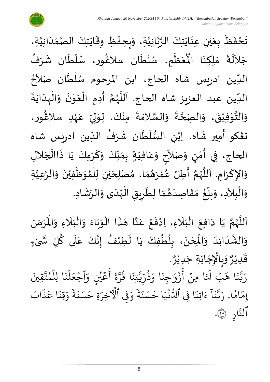$\ddot{\mathbf{r}}$ تَحْفَظَ بِعَيْنِ عِنَايَتِكَ الرَّبَّانِيَّةِ، وَبِحِفْظِ وِقَايَتِكَ الصَّمَدَانِيَّةِ، ֦֧֦֧<u>֦</u>  $\frac{1}{2}$  $\frac{1}{2}$ ا<br>ا ن<br>تار<br>۱ ن<br>ا  $\ddot{\phantom{0}}$  $\ddot{\phantom{0}}$ ់<br>( ي  $\frac{1}{2}$ َ  $\ddot{\cdot}$  $\ddot{\phantom{0}}$ اتا<br>ا  $\frac{1}{1}$  $\frac{1}{2}$ ا<br>ما  $\ddot{\phantom{0}}$  $\ddot{\phantom{0}}$ جَلاَلَةَ مَلِكِنَا الْمُعَظَّمِ، سُلْطَان سلاڠُور، سُلْطَان شَرَفُ ِ<br>ا  $\sim$ ُ<br>و ্যু  $\mathbf{r}$ ់<br>( و<br>م }<br>ዹ  $\mathbf{r}$ ّ<br>أ ُ<br>ُ' ا<br>ا  $\frac{1}{2}$ ُّ<br>پُ مَلِكِنَا الْمُ ا<br>با  $\frac{1}{2}$ <sup>ٍ</sup> الدِّين ادريس شاه الحاج، ابن المرحوم سُلْطَان صَلاَحُ ्<br>र  $\mathbf{r}$ ់<br>( و<br>م ر<br>س ا<br>: الدِّين عبد العزيز شاه الحاج. اَللَّهُمَّ أَدِمِ الْعَوْنَ وَالْهِدَايَةَ  $\ddot{\phantom{0}}$  $\frac{1}{1}$ ْ  $\frac{1}{2}$  $\ddot{\phantom{0}}$ ֝<br>֧֝֝֝֝֝֝**֟**  $\frac{1}{2}$ ֧֦֧֦֧֦֧<br>֧ ।<br>।<br>।  $\sum_{i=1}^{n}$ ن<br>م ر<br>ر<br>ر ا<br>ا ا<br>آ  $\frac{1}{\sqrt{2}}$ وَالتَّوْفِيْقَ، وَالـصِّحَّةَ وَالسَّلامَةَ مِنْكَ، لِوَلِيِّ عَہْدِ سلاَغُور،  $\frac{1}{2}$  $\ddot{\phantom{0}}$ ة<br>م  $\frac{1}{2}$  $\frac{1}{2}$ ْ ់<br>្ الله  $\frac{1}{2}$ )<br>ፌ ٝ<br>ۣ<br>ؙ ِ<br>م  $\frac{1}{2}$ .<br>بر إ  $\ddot{\ }$ ំ<br>•  $\ddot{\cdot}$  $\frac{1}{2}$ ان<br>س ت**ڠك**و أَمِير شَاه، اِبْنِ السُّلْطَان شَرَفُ الدِّين ادريس شاه י<br>י ُ ্যু  $\mathbf{r}$ ْ  $\frac{2}{\sqrt{2}}$ ْ َ .<br>نیا الحاج، فِي أَمْنٍ وَصَلاَحٍ وَعَافيَةٍ بِمَنِّكَ وَكَرَمِكَ يَا ذَاالْجَلالِ  $\overline{\phantom{a}}$ ֧֦֧֦֧֦֧֧֧֧֧֧֪֪֪֪֛֛֛֛֛֛֪֛֛֓֝֝֝֝֬֟֓֟֓֟֓֟֓֟֓֝֬֟֓֟֓֟֓֟֓֟֓֟֓֟֓֟֓֝֟֓֟֓֝֟֓֟֓֝֬֟֓֝֟֓֟֓֟֝֟ نو<br>په  $\ddot{\phantom{0}}$ َ  $\frac{1}{2}$  $\frac{1}{2}$  $\frac{1}{2}$  $\sum_{i=1}^{n}$  $\frac{1}{1}$ .<br>م  $\frac{1}{2}$ **∶**  $\sim$  $\frac{1}{2}$ <u>لي</u> י<br>م  $\tilde{\epsilon}$ ا<br>ا وَالإِكْرَامِ. اَللَّهُمَّ أَطِلْ عُمْرَهُمَا، مُصْلِحَيْنِ لِلْمُوَظَّفِيْنَ وَالرَّعِيَّةِ  $\frac{1}{2}$ ๋<br>ለ ٝ<br>ا ْ ي  $\overline{\phantom{a}}$ ,<br>ጎ  $\frac{1}{2}$ )<br>**ይ** ់<br>ត =<br>م  $\frac{1}{2}$ ن<br>م ر<br>ر<br>ر ا<br>آ ا<br>آ ।<br>।<br>। .<br>م  $\frac{1}{2}$ ات<br>ا ان<br>ا  $\frac{1}{2}$  $\ddot{\phantom{0}}$ ់<br><sup>•</sup> وَالْبِلاَدِ، وَبِلّغْ مَقَاصِدَهُمَا لِطَرِيقِ الْهُدَى وَالرَّشَادِ.  $\mathbf{r}$  $\frac{1}{2}$  $\frac{1}{1}$ ر<br>ر<br>ر ֦֧֦֧֦֧֦֧֦֟֜֜֜֜֜֜֜<br>֧ׅׅ֝֜֜֜֜֜֜֜֜֜֜֜֝֜֜֝֜<del>֟</del> <u>ر</u>  $\ddot{\phantom{0}}$  $\frac{1}{\lambda}$  $\frac{1}{2}$ َ  $\frac{1}{2}$  $\frac{1}{2}$ ໍ່<br>່  $\frac{1}{1}$  $\frac{1}{2}$  $\frac{1}{2}$  $\tilde{\phantom{a}}$ ֦֧֦֧֦֧֦֧֦֧֦֧֦֧֦֧֜֜֓֓<br>**֡**  $\tilde{ }$ 

ن<br>م اَللَّهُمَّ يَا دَافِعَ الْبَلَاءِ، اِدْفَعْ عَنَّا هَذَا الْوَبَاءَ وَالْبَلَاءِ وَالْمَرَضَ و<br>ر<br>ر ا<br>آ  $\mathbf{r}$ يَا دَافِعَ الْبَلَاءِ، اِدْفَعْ عَنَّا هَذَا الْوَبَاءَ وَالْبَلَاءِ وَالْمُ  $\frac{1}{2}$ َ<br>ا  $\frac{1}{1}$ ֦֧֦֧֦֧֦֧֦֟֜֜֜֜֜֜֜<br>֧ׅׅ֝֜֜֜֜֜֜֜֜֜֜֜֝֜֜֝֜<del>֟</del>  $\frac{1}{2}$  $\frac{1}{2}$  $\ddot{\phantom{0}}$  $\frac{1}{2}$ ֦֧֦֧֦֧֦֧֦֦֟֜֜֜֜֜֜֜֜<br>֧ׅׅׅׅ֛֝֜֜֜֜֜֜֜֜֜֝֜֜֝֜֜֝֜  $\ddot{\cdot}$  $\overline{\phantom{a}}$ ان<br>ب .<br>م ֦֧<u>֦</u>  $\ddot{\cdot}$ ْ  $\overline{\mathbf{r}}$ َ ֦֧֦֧֦֧֦֧֦֧֦֧֦֟֓<br>֧ׅׅׅ֛֛֝֜֜֜֜֜֜֜֜֜֜֜֜֜֜֝֜֜֝֜֝֟  $\ddot{\phantom{0}}$  $\sim$  $\ddot{\phantom{0}}$ ُ .<br>وَالْشَّدَائِدَ وَالْمِحَنَ، بِلُطْفِكَ يَا لَطِيْفُ إِنَّكَ عَلَى كُلِّ شَىْءٍ  $\overline{\mathbf{1}}$ ِ<br>م .<br>با<br>:  $\frac{1}{2}$ ُ  $\mathbf{r}$  $\ddot{\phantom{0}}$ ֦֧֦֧֦֧֦֧֦֧֦֧֦֧֧֦֧֧֦֧֦֧֦֧֦֧֦֧֝֝֝֟֓֓֜֓֟֓֟֓֜֓֟֓֟֓֟֓֟֓֟֓֟֓֟֓<br>**֧** ٍ<br>ا <u>ر</u><br>:  $\ddot{\phantom{0}}$  $\overline{\phantom{a}}$ )<br>م  $\frac{1}{2}$  $\frac{1}{1}$  $\frac{1}{1}$ اند<br>المع  $\frac{1}{2}$ ْ  $\tilde{\cdot}$ . و<br>م وَبِالْإِجَابَةِ جَدِيْرٌ ٝ<br>ؙ  $\frac{1}{2}$ ֦֧֦֧֦֧֦֧֦֧֦֧֦֧֦֧֦֧֧֦֧֜֜֓֓֜֜֜֓֓<br>֧ׅ֧֜֜֜֜֜֜֜֜֜֓֬֓  $\frac{1}{2}$  $\frac{1}{2}$ و<br>م قَدِيْرٌ ْ ا<br>: قُِيَ َّ ت م ا لِل و ہ<br>1  $\ddot{\cdot}$ ن ل ہ<br>1  $\frac{1}{2}$ اجُعَ  $\frac{1}{2}$ َ<br>م عَيْنِ وَ و<br>م ر<br>م ِ<br>ج أ  $\ddot{\tilde{}}$  $\frac{1}{2}$ ىر<br>مە ر ا ق ور  $\ddot{\cdot}$ تِنَ<br>نِ َہمَ<br>ٌ ، بة<br>مراجع<br>مر ں<br>,<br>, ر ذ و<br>په  $\frac{1}{\alpha}$ ا و  $\ddot{\cdot}$ ِجن  $\frac{1}{\alpha}$ زَوْر <u>ء</u> ا <<br>ح أ ؚ<br>ٛ ا ِمن  $\ddot{\cdot}$  $\tilde{\mathbf{t}}$ رَ<br>فَبۡ لَنَـۡ ا ه  $\ddot{\cdot}$ بر<br>ند ِ<br>پر بت<br>ب ِ<br>ا ر ا  $\frac{2}{3}$ ام  $\frac{1}{2}$ إِمَامًا. رَبَّنَا ءَاتِنَا فِي ٱلدُّنْيَا حَسَنَةً وَفِي ٱلْأَخِرَةِ حَسَنَةً وَقِنَا عَذَابَ ذ ِ<br>م ا ع  $\ddot{\cdot}$ قِن  $\frac{1}{\alpha}$ و ׇ֦֧֝<br>֧֛֧֧֧֧֧֦֧֦֧֦֧֦֧֦֝֓֟֝֓֟֝֓֝֓֝֓֟׆<del>֛</del> ة  $\ddot{\cdot}$ ۔<br>حَسَنَ ةِ ح ِ ِفِي الْأَخِرَ  $\frac{1}{\alpha}$ و ׇ֦֧֝<br>֧ׅ֧֧ׅ֧֧֦֧֧֧֦֧֦֧֝֓֝֓֝֝֓֝֬<br>ׇ֧֧֧֧֧֧֧֧֧֧֧֧֧֝֬֝֝֝֟֝֬֟֟֬ ة ِ<br>پ ِ<br>حَسَنَ ا ح  $\frac{1}{1}$ جر<br>نبيہ  $\ddot{\cdot}$ و<br>سا ا ِِف ٱدل  $\ddot{\cdot}$ اتِن  $\tilde{\epsilon}$ ء  $\tilde{1}$ ا  $\ddot{\cdot}$ ند<br>ند ِ<br>پر بت<br>ب ِ<br>ا ر ِ ار اًلتَّارِ ۞.